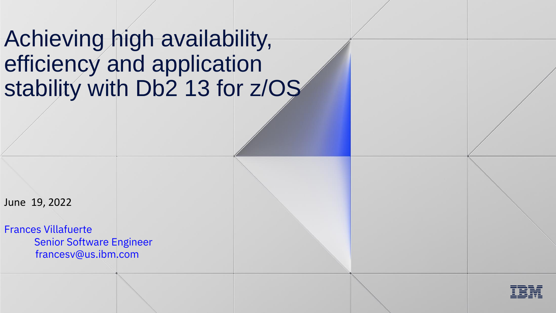# Achieving high availability, efficiency and application stability with Db2 13 for z/OS

June 19, 2022

Frances Villafuerte Senior Software Engineer francesv@us.ibm.com

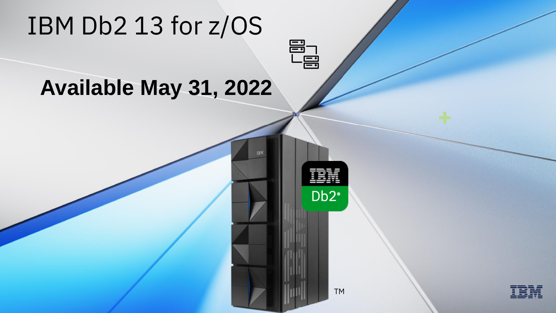# IBM Db2 13 for z/OS

# **Available May 31, 2022**

Db<sub>2®</sub>

 $\begin{tabular}{c} \hline \hline \Xi \\ \hline \Xi \end{tabular}$ 

TRM

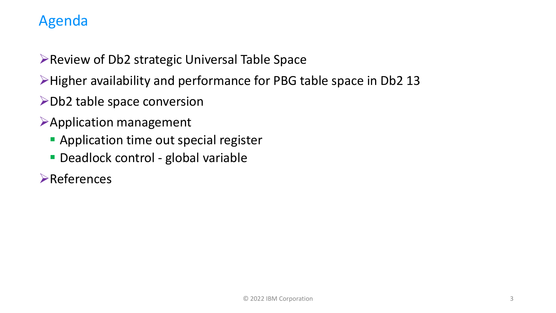# Agenda

➢Review of Db2 strategic Universal Table Space

- ➢Higher availability and performance for PBG table space in Db2 13
- ➢Db2 table space conversion
- ➢Application management
	- **EXA** Application time out special register
	- **Deadlock control global variable**
- ➢References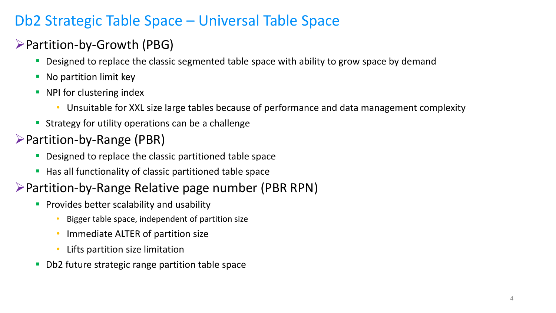# Db2 Strategic Table Space – Universal Table Space

# ➢Partition-by-Growth (PBG)

- Designed to replace the classic segmented table space with ability to grow space by demand
- No partition limit key
- NPI for clustering index
	- Unsuitable for XXL size large tables because of performance and data management complexity
- **EXTERGY FOR A STRATE STATE STATES IS STATE:** Strategy for utility operations can be a challenge
- ➢Partition-by-Range (PBR)
	- **Designed to replace the classic partitioned table space**
	- Has all functionality of classic partitioned table space

# ➢Partition-by-Range Relative page number (PBR RPN)

- **Provides better scalability and usability** 
	- Bigger table space, independent of partition size
	- Immediate ALTER of partition size
	- Lifts partition size limitation
- Db2 future strategic range partition table space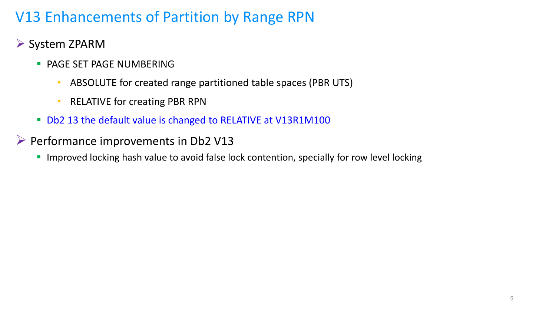# V13 Enhancements of Partition by Range RPN

- ➢ System ZPARM
	- **· PAGE SET PAGE NUMBERING** 
		- ABSOLUTE for created range partitioned table spaces (PBR UTS)
		- RELATIVE for creating PBR RPN
	- Db2 13 the default value is changed to RELATIVE at V13R1M100
- ➢ Performance improvements in Db2 V13
	- **.** Improved locking hash value to avoid false lock contention, specially for row level locking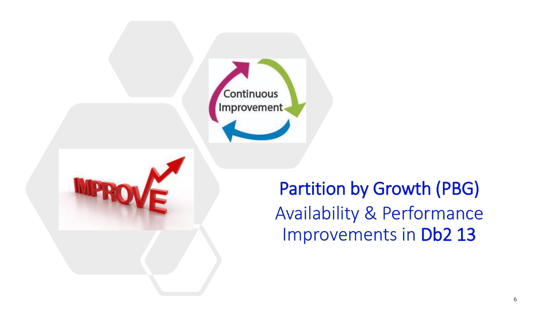



Partition by Growth (PBG) Availability & Performance Improvements in Db2 13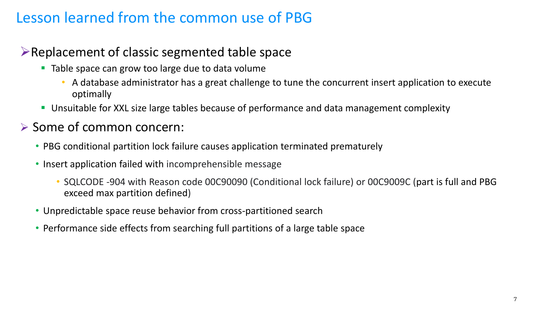# Lesson learned from the common use of PBG

# ➢Replacement of classic segmented table space

- Table space can grow too large due to data volume
	- A database administrator has a great challenge to tune the concurrent insert application to execute optimally
- Unsuitable for XXL size large tables because of performance and data management complexity

### ➢ Some of common concern:

- PBG conditional partition lock failure causes application terminated prematurely
- Insert application failed with incomprehensible message
	- SQLCODE -904 with Reason code 00C90090 (Conditional lock failure) or 00C9009C (part is full and PBG exceed max partition defined)
- Unpredictable space reuse behavior from cross-partitioned search
- Performance side effects from searching full partitions of a large table space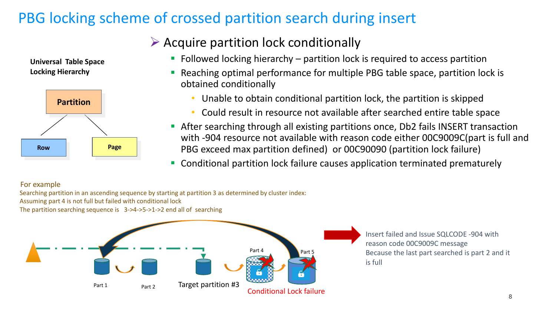# PBG locking scheme of crossed partition search during insert

**Universal Table Space Locking Hierarchy** 



# $\triangleright$  Acquire partition lock conditionally

- $\blacksquare$  Followed locking hierarchy partition lock is required to access partition
- Reaching optimal performance for multiple PBG table space, partition lock is obtained conditionally
	- Unable to obtain conditional partition lock, the partition is skipped
	- Could result in resource not available after searched entire table space
- After searching through all existing partitions once, Db2 fails INSERT transaction with -904 resource not available with reason code either 00C9009C(part is full and PBG exceed max partition defined) or 00C90090 (partition lock failure)
- Conditional partition lock failure causes application terminated prematurely

#### For example

Searching partition in an ascending sequence by starting at partition 3 as determined by cluster index: Assuming part 4 is not full but failed with conditional lock The partition searching sequence is 3->4->5->1->2 end all of searching



Insert failed and Issue SQLCODE -904 with reason code 00C9009C message Because the last part searched is part 2 and it is full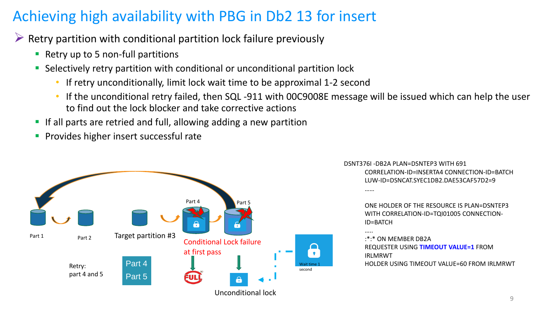# Achieving high availability with PBG in Db2 13 for insert

 $\triangleright$  Retry partition with conditional partition lock failure previously

- Retry up to 5 non-full partitions
- Selectively retry partition with conditional or unconditional partition lock
	- If retry unconditionally, limit lock wait time to be approximal 1-2 second
	- If the unconditional retry failed, then SQL -911 with 00C9008E message will be issued which can help the user to find out the lock blocker and take corrective actions
- If all parts are retried and full, allowing adding a new partition
- Provides higher insert successful rate



DSNT376I -DB2A PLAN=DSNTEP3 WITH 691 CORRELATION-ID=INSERTA4 CONNECTION-ID=BATCH LUW-ID=DSNCAT.SYEC1DB2.DAE53CAF57D2=9 ……

> ONE HOLDER OF THE RESOURCE IS PLAN=DSNTEP3 WITH CORRELATION-ID=TQI01005 CONNECTION-ID=BATCH

```
…..
:*:* ON MEMBER DB2A 
REQUESTER USING TIMEOUT VALUE=1 FROM 
IRLMRWT 
HOLDER USING TIMEOUT VALUE=60 FROM IRLMRWT
```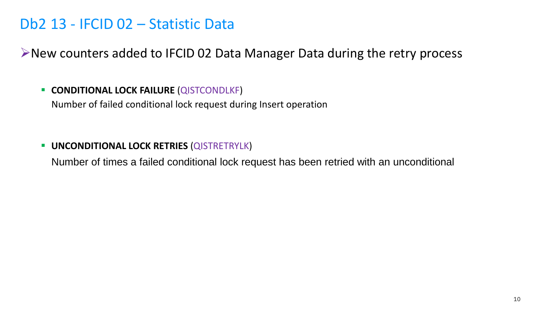# Db2 13 - IFCID 02 – Statistic Data

➢New counters added to IFCID 02 Data Manager Data during the retry process

#### ▪ **CONDITIONAL LOCK FAILURE** (QISTCONDLKF)

Number of failed conditional lock request during Insert operation

#### ▪ **UNCONDITIONAL LOCK RETRIES** (QISTRETRYLK)

Number of times a failed conditional lock request has been retried with an unconditional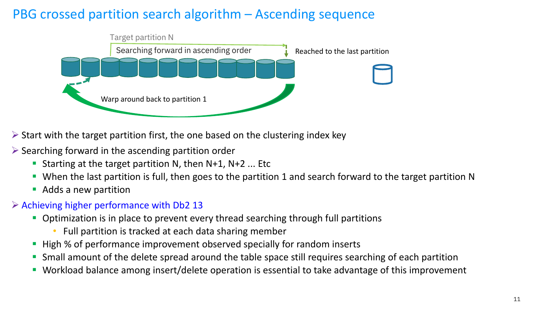# PBG crossed partition search algorithm – Ascending sequence



- ➢ Start with the target partition first, the one based on the clustering index key
- $\triangleright$  Searching forward in the ascending partition order
	- **E** Starting at the target partition N, then  $N+1$ ,  $N+2$  ... Etc
	- When the last partition is full, then goes to the partition 1 and search forward to the target partition N
	- Adds a new partition

#### $\triangleright$  Achieving higher performance with Db2 13

- Optimization is in place to prevent every thread searching through full partitions
	- Full partition is tracked at each data sharing member
- High % of performance improvement observed specially for random inserts
- Small amount of the delete spread around the table space still requires searching of each partition
- Workload balance among insert/delete operation is essential to take advantage of this improvement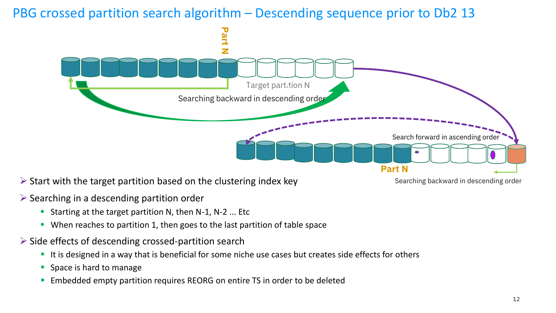PBG crossed partition search algorithm – Descending sequence prior to Db2 13



 $\triangleright$  Start with the target partition based on the clustering index key

Searching backward in descending order

- $\triangleright$  Searching in a descending partition order
	- **EXECT** Starting at the target partition N, then N-1, N-2 ... Etc
	- When reaches to partition 1, then goes to the last partition of table space
- ➢ Side effects of descending crossed-partition search
	- It is designed in a way that is beneficial for some niche use cases but creates side effects for others
	- Space is hard to manage
	- **Embedded empty partition requires REORG on entire TS in order to be deleted**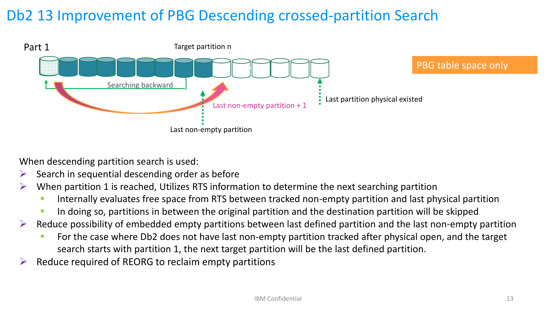# Db2 13 Improvement of PBG Descending crossed-partition Search



When descending partition search is used:

- $\triangleright$  Search in sequential descending order as before
- $\triangleright$  When partition 1 is reached, Utilizes RTS information to determine the next searching partition
	- **EXT** Internally evaluates free space from RTS between tracked non-empty partition and last physical partition
	- **In doing so, partitions in between the original partition and the destination partition will be skipped**
- ➢ Reduce possibility of embedded empty partitions between last defined partition and the last non-empty partition
	- **EXT** For the case where Db2 does not have last non-empty partition tracked after physical open, and the target search starts with partition 1, the next target partition will be the last defined partition.
- $\triangleright$  Reduce required of REORG to reclaim empty partitions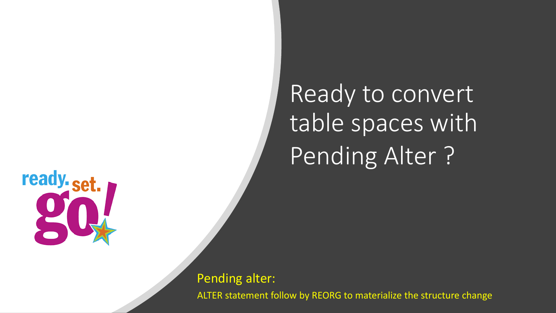

Ready to convert table spaces with Pending Alter ?

Pending alter: ALTER statement follow by REORG to materialize the structure change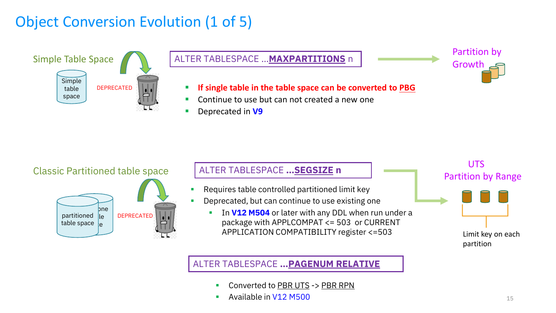# Object Conversion Evolution (1 of 5)



#### ALTER TABLESPACE …**MAXPARTITIONS** n

▪ **If single table in the table space can be converted to PBG**

- Continue to use but can not created a new one
- Deprecated in **V9**





# ALTER TABLESPACE **…SEGSIZE n** Classic Partitioned table space UTS

- Requires table controlled partitioned limit key
- Deprecated, but can continue to use existing one
	- **EXTE:** In V12 M504 or later with any DDL when run under a package with APPLCOMPAT <= 503 or CURRENT APPLICATION COMPATIBILITY register <=503



Partition by

Growth

#### ALTER TABLESPACE **…PAGENUM RELATIVE**

- Converted to PBR UTS -> PBR RPN
- Available in V12 M500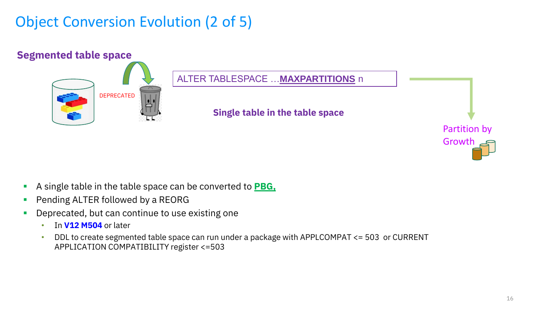# Object Conversion Evolution (2 of 5)



- A single table in the table space can be converted to **PBG**.
- **Pending ALTER followed by a REORG**
- **•** Deprecated, but can continue to use existing one
	- In **V12 M504** or later
	- DDL to create segmented table space can run under a package with APPLCOMPAT <= 503 or CURRENT APPLICATION COMPATIBILITY register <=503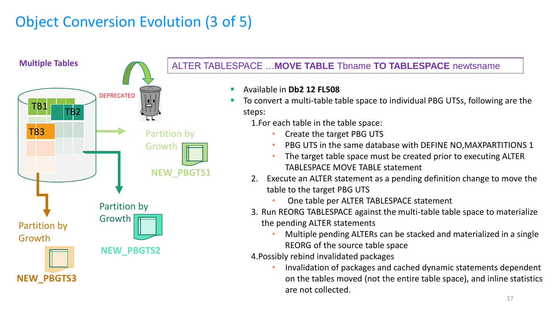# Object Conversion Evolution (3 of 5)



#### ALTER TABLESPACE …**MOVE TABLE** Tbname **TO TABLESPACE** newtsname

- Available in **Db2 12 FL508**
- To convert a multi-table table space to individual PBG UTSs, following are the steps:

1.For each table in the table space:

- Create the target PBG UTS
- PBG UTS in the same database with DEFINE NO, MAXPARTITIONS 1
- The target table space must be created prior to executing ALTER TABLESPACE MOVE TABLE statement
- 2. Execute an ALTER statement as a pending definition change to move the table to the target PBG UTS
	- One table per ALTER TABLESPACE statement
- 3. Run REORG TABLESPACE against the multi-table table space to materialize the pending ALTER statements
	- Multiple pending ALTERs can be stacked and materialized in a single REORG of the source table space

4.Possibly rebind invalidated packages

• Invalidation of packages and cached dynamic statements dependent on the tables moved (not the entire table space), and inline statistics are not collected.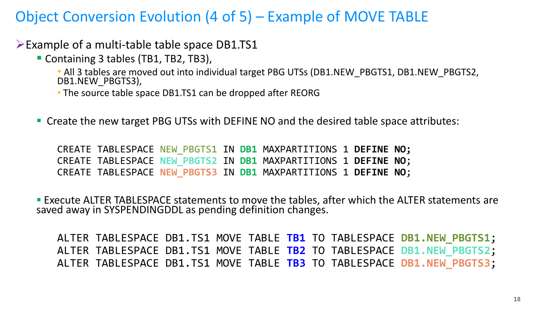# Object Conversion Evolution (4 of 5) – Example of MOVE TABLE

➢Example of a multi-table table space DB1.TS1

- Containing 3 tables (TB1, TB2, TB3),
	- All 3 tables are moved out into individual target PBG UTSs (DB1.NEW\_PBGTS1, DB1.NEW\_PBGTS2, DB1.NEW PBGTS3),
	- The source table space DB1.TS1 can be dropped after REORG
- Create the new target PBG UTSs with DEFINE NO and the desired table space attributes:

CREATE TABLESPACE NEW\_PBGTS1 IN **DB1** MAXPARTITIONS 1 **DEFINE NO;** CREATE TABLESPACE **NEW\_PBGTS2** IN **DB1** MAXPARTITIONS 1 **DEFINE NO**; CREATE TABLESPACE **NEW\_PBGTS3** IN **DB1** MAXPARTITIONS 1 **DEFINE NO**;

**Execute ALTER TABLESPACE statements to move the tables, after which the ALTER statements are** saved away in SYSPENDINGDDL as pending definition changes.

ALTER TABLESPACE DB1.TS1 MOVE TABLE **TB1** TO TABLESPACE **DB1.NEW\_PBGTS1**; ALTER TABLESPACE DB1.TS1 MOVE TABLE **TB2** TO TABLESPACE **DB1.NEW\_PBGTS2**; ALTER TABLESPACE DB1.TS1 MOVE TABLE **TB3** TO TABLESPACE **DB1.NEW\_PBGTS3**;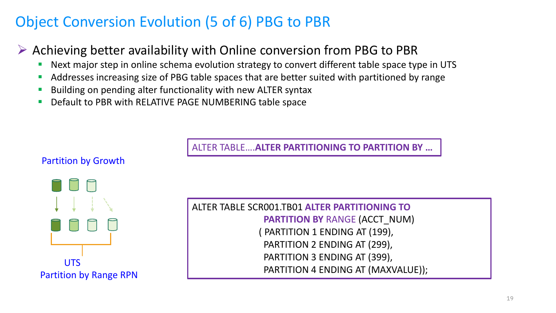# Object Conversion Evolution (5 of 6) PBG to PBR

# ➢ Achieving better availability with Online conversion from PBG to PBR

- Next major step in online schema evolution strategy to convert different table space type in UTS
- Addresses increasing size of PBG table spaces that are better suited with partitioned by range
- Building on pending alter functionality with new ALTER syntax
- Default to PBR with RELATIVE PAGE NUMBERING table space

ALTER TABLE….**ALTER PARTITIONING TO PARTITION BY …**



ALTER TABLE SCR001.TB01 **ALTER PARTITIONING TO PARTITION BY** RANGE (ACCT\_NUM) ( PARTITION 1 ENDING AT (199), PARTITION 2 ENDING AT (299), PARTITION 3 ENDING AT (399), UTS<br>
PARTITION 4 ENDING AT (MAXVALUE));

#### Partition by Growth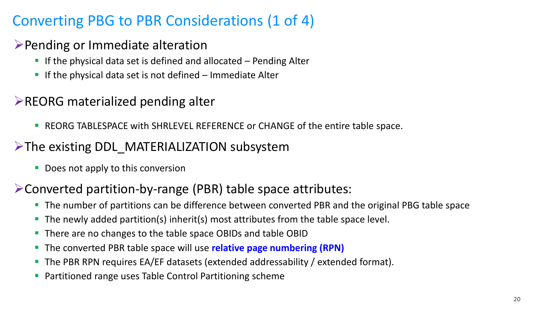# Converting PBG to PBR Considerations (1 of 4)

# ➢Pending or Immediate alteration

- $\blacksquare$  If the physical data set is defined and allocated  $\blacksquare$  Pending Alter
- $\blacksquare$  If the physical data set is not defined  $\blacksquare$  Immediate Alter

# ➢REORG materialized pending alter

■ REORG TABLESPACE with SHRLEVEL REFERENCE or CHANGE of the entire table space.

# ➢The existing DDL\_MATERIALIZATION subsystem

■ Does not apply to this conversion

# ➢Converted partition-by-range (PBR) table space attributes:

- The number of partitions can be difference between converted PBR and the original PBG table space
- The newly added partition(s) inherit(s) most attributes from the table space level.
- There are no changes to the table space OBIDs and table OBID
- The converted PBR table space will use **relative page numbering (RPN)**
- The PBR RPN requires EA/EF datasets (extended addressability / extended format).
- Partitioned range uses Table Control Partitioning scheme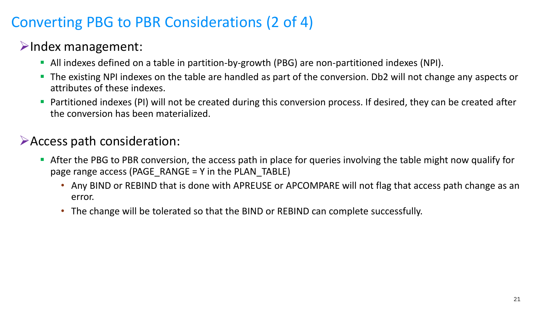# Converting PBG to PBR Considerations (2 of 4)

# ➢Index management:

- All indexes defined on a table in partition-by-growth (PBG) are non-partitioned indexes (NPI).
- The existing NPI indexes on the table are handled as part of the conversion. Db2 will not change any aspects or attributes of these indexes.
- Partitioned indexes (PI) will not be created during this conversion process. If desired, they can be created after the conversion has been materialized.

## ➢Access path consideration:

- **EXT** After the PBG to PBR conversion, the access path in place for queries involving the table might now qualify for page range access (PAGE\_RANGE = Y in the PLAN\_TABLE)
	- Any BIND or REBIND that is done with APREUSE or APCOMPARE will not flag that access path change as an error.
	- The change will be tolerated so that the BIND or REBIND can complete successfully.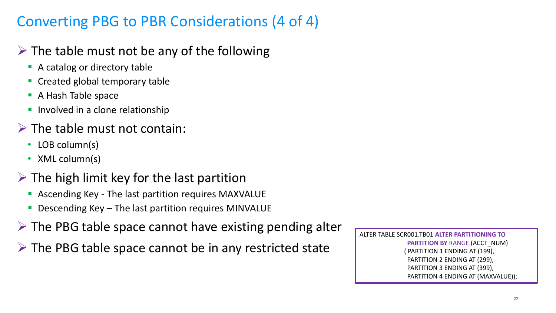# Converting PBG to PBR Considerations (4 of 4)

# $\triangleright$  The table must not be any of the following

- A catalog or directory table
- Created global temporary table
- A Hash Table space
- **·** Involved in a clone relationship

# $\triangleright$  The table must not contain:

- LOB column(s)
- XML column(s)
- $\triangleright$  The high limit key for the last partition
	- Ascending Key The last partition requires MAXVALUE
	- Descending Key The last partition requires MINVALUE
- $\triangleright$  The PBG table space cannot have existing pending alter
- $\triangleright$  The PBG table space cannot be in any restricted state

ALTER TABLE SCR001.TB01 **ALTER PARTITIONING TO PARTITION BY** RANGE (ACCT\_NUM) ( PARTITION 1 ENDING AT (199), PARTITION 2 ENDING AT (299), PARTITION 3 ENDING AT (399), PARTITION 4 ENDING AT (MAXVALUE));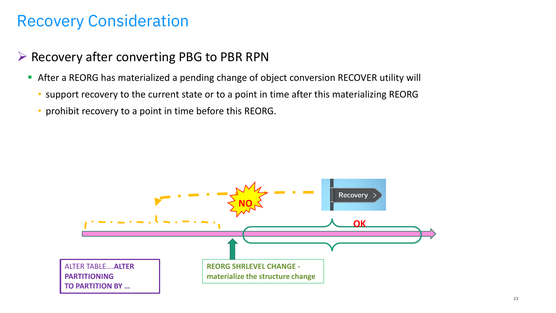# Recovery Consideration

- ➢ Recovery after converting PBG to PBR RPN
	- After a REORG has materialized a pending change of object conversion RECOVER utility will
		- support recovery to the current state or to a point in time after this materializing REORG
		- prohibit recovery to a point in time before this REORG.

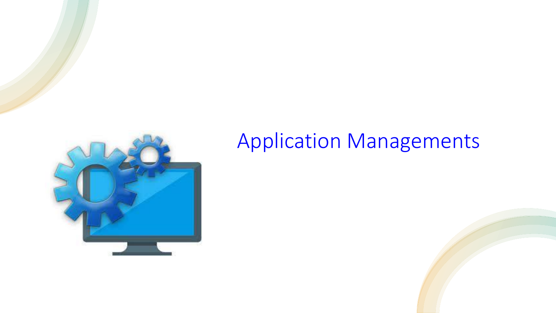

# Application Managements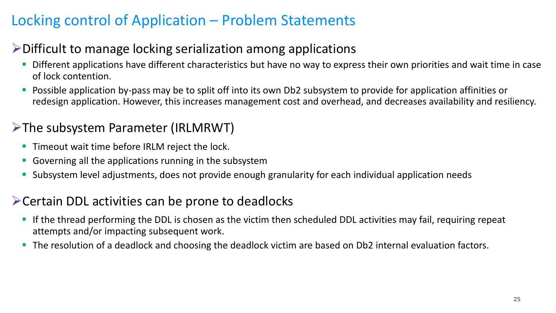# Locking control of Application – Problem Statements

# ➢Difficult to manage locking serialization among applications

- **•** Different applications have different characteristics but have no way to express their own priorities and wait time in case of lock contention.
- Possible application by-pass may be to split off into its own Db2 subsystem to provide for application affinities or redesign application. However, this increases management cost and overhead, and decreases availability and resiliency.

# ➢The subsystem Parameter (IRLMRWT)

- **Timeout wait time before IRLM reject the lock.**
- Governing all the applications running in the subsystem
- Subsystem level adjustments, does not provide enough granularity for each individual application needs

### ➢Certain DDL activities can be prone to deadlocks

- If the thread performing the DDL is chosen as the victim then scheduled DDL activities may fail, requiring repeat attempts and/or impacting subsequent work.
- The resolution of a deadlock and choosing the deadlock victim are based on Db2 internal evaluation factors.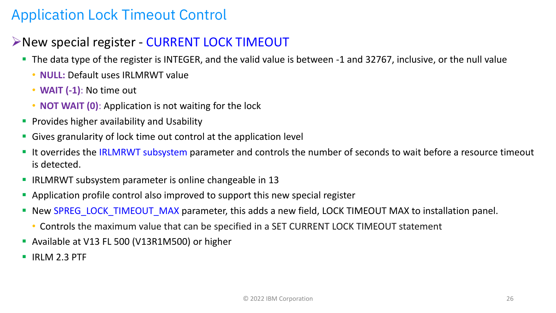# Application Lock Timeout Control

### ➢New special register - CURRENT LOCK TIMEOUT

- The data type of the register is INTEGER, and the valid value is between -1 and 32767, inclusive, or the null value
	- **NULL:** Default uses IRLMRWT value
	- **WAIT (-1)**: No time out
	- **NOT WAIT (0)**: Application is not waiting for the lock
- **Provides higher availability and Usability**
- Gives granularity of lock time out control at the application level
- **I** It overrides the IRLMRWT subsystem parameter and controls the number of seconds to wait before a resource timeout is detected.
- IRLMRWT subsystem parameter is online changeable in 13
- **Application profile control also improved to support this new special register**
- **EXPAREG\_LOCK\_TIMEOUT\_MAX parameter, this adds a new field, LOCK TIMEOUT MAX to installation panel.** 
	- Controls the maximum value that can be specified in a SET CURRENT LOCK TIMEOUT statement
- Available at V13 FL 500 (V13R1M500) or higher
- IRLM 2.3 PTF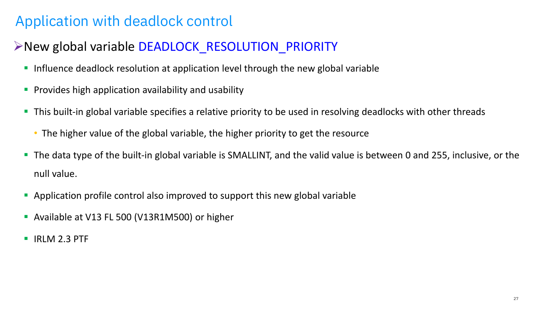# Application with deadlock control

# ➢New global variable DEADLOCK\_RESOLUTION\_PRIORITY

- **Influence deadlock resolution at application level through the new global variable**
- **•** Provides high application availability and usability
- This built-in global variable specifies a relative priority to be used in resolving deadlocks with other threads
	- The higher value of the global variable, the higher priority to get the resource
- The data type of the built-in global variable is SMALLINT, and the valid value is between 0 and 255, inclusive, or the null value.
- **Application profile control also improved to support this new global variable**
- **EXECUTE: Available at V13 FL 500 (V13R1M500) or higher**
- IRLM 2.3 PTF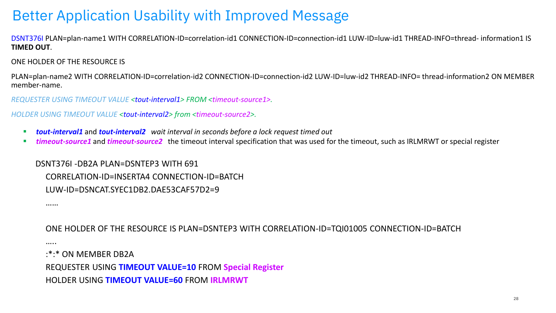# Better Application Usability with Improved Message

DSNT376I PLAN=plan-name1 WITH CORRELATION-ID=correlation-id1 CONNECTION-ID=connection-id1 LUW-ID=luw-id1 THREAD-INFO=thread- information1 IS **TIMED OUT**.

ONE HOLDER OF THE RESOURCE IS

……

…..

PLAN=plan-name2 WITH CORRELATION-ID=correlation-id2 CONNECTION-ID=connection-id2 LUW-ID=luw-id2 THREAD-INFO= thread-information2 ON MEMBER member-name.

*REQUESTER USING TIMEOUT VALUE <tout-interval1> FROM <timeout-source1>.*

*HOLDER USING TIMEOUT VALUE <tout-interval2> from <timeout-source2>.* 

- *tout-interval1* and *tout-interval2 wait interval in seconds before a lock request timed out*
- *timeout-source1* and *timeout-source2* the timeout interval specification that was used for the timeout, such as IRLMRWT or special register

DSNT376I -DB2A PLAN=DSNTEP3 WITH 691 CORRELATION-ID=INSERTA4 CONNECTION-ID=BATCH LUW-ID=DSNCAT.SYEC1DB2.DAE53CAF57D2=9

ONE HOLDER OF THE RESOURCE IS PLAN=DSNTEP3 WITH CORRELATION-ID=TQI01005 CONNECTION-ID=BATCH

:\*:\* ON MEMBER DB2A

REQUESTER USING **TIMEOUT VALUE=10** FROM **Special Register** 

HOLDER USING **TIMEOUT VALUE=60** FROM **IRLMRWT**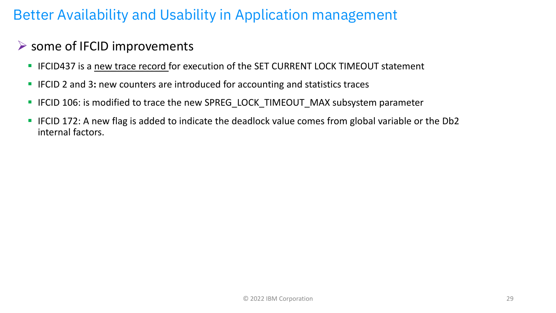# Better Availability and Usability in Application management

# ➢ some of IFCID improvements

- **EXTERGEDEES IS A 11 IFCID437 is a new trace record for execution of the SET CURRENT LOCK TIMEOUT statement**
- IFCID 2 and 3: new counters are introduced for accounting and statistics traces
- IFCID 106: is modified to trace the new SPREG\_LOCK\_TIMEOUT\_MAX subsystem parameter
- IFCID 172: A new flag is added to indicate the deadlock value comes from global variable or the Db2 internal factors.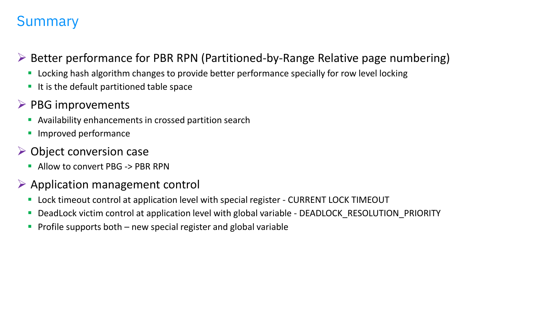# Summary

- ➢ Better performance for PBR RPN (Partitioned-by-Range Relative page numbering)
	- Locking hash algorithm changes to provide better performance specially for row level locking
	- It is the default partitioned table space
- $\triangleright$  PBG improvements
	- **E** Availability enhancements in crossed partition search
	- Improved performance
- $\triangleright$  Object conversion case
	- Allow to convert PBG -> PBR RPN
- $\triangleright$  Application management control
	- Lock timeout control at application level with special register CURRENT LOCK TIMEOUT
	- DeadLock victim control at application level with global variable DEADLOCK\_RESOLUTION\_PRIORITY
	- **Profile supports both new special register and global variable**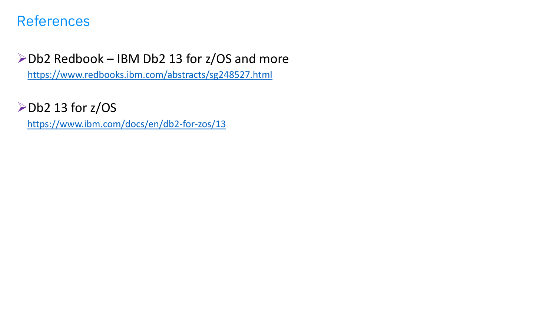# References

# ➢Db2 Redbook – IBM Db2 13 for z/OS and more

<https://www.redbooks.ibm.com/abstracts/sg248527.html>

➢Db2 13 for z/OS

<https://www.ibm.com/docs/en/db2-for-zos/13>